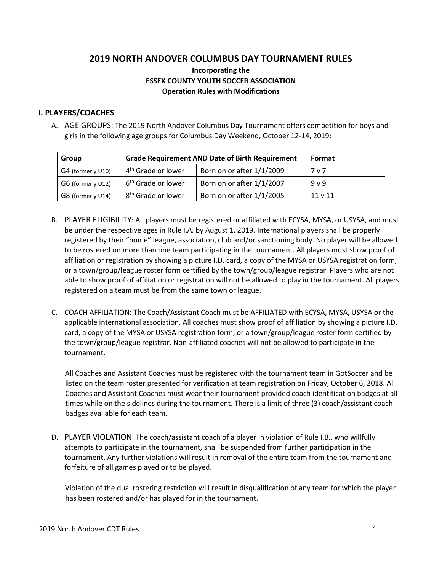# **2019 NORTH ANDOVER COLUMBUS DAY TOURNAMENT RULES**

## **Incorporating the ESSEX COUNTY YOUTH SOCCER ASSOCIATION Operation Rules with Modifications**

#### **I. PLAYERS/COACHES**

A. AGE GROUPS: The 2019 North Andover Columbus Day Tournament offers competition for boys and girls in the following age groups for Columbus Day Weekend, October 12-14, 2019:

| Group             | <b>Grade Requirement AND Date of Birth Requirement</b> |                           | Format       |
|-------------------|--------------------------------------------------------|---------------------------|--------------|
| G4 (formerly U10) | 4 <sup>th</sup> Grade or lower                         | Born on or after 1/1/2009 | 7 v 7        |
| G6 (formerly U12) | 6 <sup>th</sup> Grade or lower                         | Born on or after 1/1/2007 | 9 v 9        |
| G8 (formerly U14) | 8 <sup>th</sup> Grade or lower                         | Born on or after 1/1/2005 | $11 \vee 11$ |

- B. PLAYER ELIGIBILITY: All players must be registered or affiliated with ECYSA, MYSA, or USYSA, and must be under the respective ages in Rule I.A. by August 1, 2019. International players shall be properly registered by their "home" league, association, club and/or sanctioning body. No player will be allowed to be rostered on more than one team participating in the tournament. All players must show proof of affiliation or registration by showing a picture I.D. card, a copy of the MYSA or USYSA registration form, or a town/group/league roster form certified by the town/group/league registrar. Players who are not able to show proof of affiliation or registration will not be allowed to play in the tournament. All players registered on a team must be from the same town or league.
- C. COACH AFFILIATION: The Coach/Assistant Coach must be AFFILIATED with ECYSA, MYSA, USYSA or the applicable international association. All coaches must show proof of affiliation by showing a picture I.D. card, a copy of the MYSA or USYSA registration form, or a town/group/league roster form certified by the town/group/league registrar. Non-affiliated coaches will not be allowed to participate in the tournament.

All Coaches and Assistant Coaches must be registered with the tournament team in GotSoccer and be listed on the team roster presented for verification at team registration on Friday, October 6, 2018. All Coaches and Assistant Coaches must wear their tournament provided coach identification badges at all times while on the sidelines during the tournament. There is a limit of three (3) coach/assistant coach badges available for each team.

D. PLAYER VIOLATION: The coach/assistant coach of a player in violation of Rule I.B., who willfully attempts to participate in the tournament, shall be suspended from further participation in the tournament. Any further violations will result in removal of the entire team from the tournament and forfeiture of all games played or to be played.

Violation of the dual rostering restriction will result in disqualification of any team for which the player has been rostered and/or has played for in the tournament.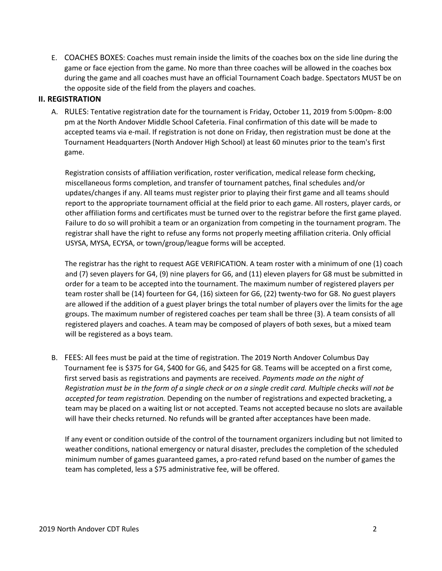E. COACHES BOXES: Coaches must remain inside the limits of the coaches box on the side line during the game or face ejection from the game. No more than three coaches will be allowed in the coaches box during the game and all coaches must have an official Tournament Coach badge. Spectators MUST be on the opposite side of the field from the players and coaches.

#### **II. REGISTRATION**

A. RULES: Tentative registration date for the tournament is Friday, October 11, 2019 from 5:00pm- 8:00 pm at the North Andover Middle School Cafeteria. Final confirmation of this date will be made to accepted teams via e-mail. If registration is not done on Friday, then registration must be done at the Tournament Headquarters (North Andover High School) at least 60 minutes prior to the team's first game.

Registration consists of affiliation verification, roster verification, medical release form checking, miscellaneous forms completion, and transfer of tournament patches, final schedules and/or updates/changes if any. All teams must register prior to playing their first game and all teams should report to the appropriate tournament official at the field prior to each game. All rosters, player cards, or other affiliation forms and certificates must be turned over to the registrar before the first game played. Failure to do so will prohibit a team or an organization from competing in the tournament program. The registrar shall have the right to refuse any forms not properly meeting affiliation criteria. Only official USYSA, MYSA, ECYSA, or town/group/league forms will be accepted.

The registrar has the right to request AGE VERIFICATION. A team roster with a minimum of one (1) coach and (7) seven players for G4, (9) nine players for G6, and (11) eleven players for G8 must be submitted in order for a team to be accepted into the tournament. The maximum number of registered players per team roster shall be (14) fourteen for G4, (16) sixteen for G6, (22) twenty-two for G8. No guest players are allowed if the addition of a guest player brings the total number of players over the limits for the age groups. The maximum number of registered coaches per team shall be three (3). A team consists of all registered players and coaches. A team may be composed of players of both sexes, but a mixed team will be registered as a boys team.

B. FEES: All fees must be paid at the time of registration. The 2019 North Andover Columbus Day Tournament fee is \$375 for G4, \$400 for G6, and \$425 for G8. Teams will be accepted on a first come, first served basis as registrations and payments are received. *Payments made on the night of Registration must be in the form of a single check or on a single credit card. Multiple checks will not be accepted for team registration.* Depending on the number of registrations and expected bracketing, a team may be placed on a waiting list or not accepted. Teams not accepted because no slots are available will have their checks returned. No refunds will be granted after acceptances have been made.

If any event or condition outside of the control of the tournament organizers including but not limited to weather conditions, national emergency or natural disaster, precludes the completion of the scheduled minimum number of games guaranteed games, a pro-rated refund based on the number of games the team has completed, less a \$75 administrative fee, will be offered.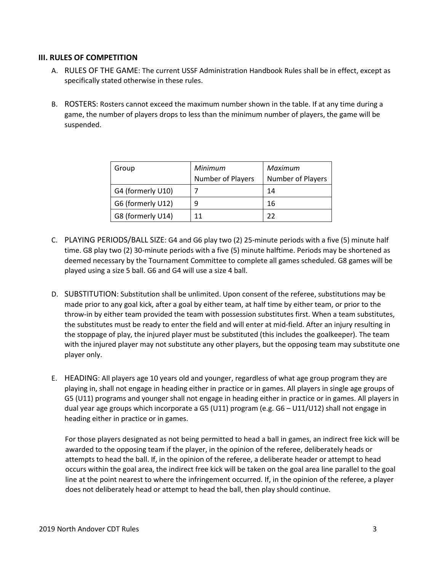#### **III. RULES OF COMPETITION**

- A. RULES OF THE GAME: The current USSF Administration Handbook Rules shall be in effect, except as specifically stated otherwise in these rules.
- B. ROSTERS: Rosters cannot exceed the maximum number shown in the table. If at any time during a game, the number of players drops to less than the minimum number of players, the game will be suspended.

| Group             | Minimum<br><b>Number of Players</b> | Maximum<br>Number of Players |
|-------------------|-------------------------------------|------------------------------|
| G4 (formerly U10) |                                     | 14                           |
| G6 (formerly U12) |                                     | 16                           |
| G8 (formerly U14) | 11                                  | フフ                           |

- C. PLAYING PERIODS/BALL SIZE: G4 and G6 play two (2) 25-minute periods with a five (5) minute half time. G8 play two (2) 30-minute periods with a five (5) minute halftime. Periods may be shortened as deemed necessary by the Tournament Committee to complete all games scheduled. G8 games will be played using a size 5 ball. G6 and G4 will use a size 4 ball.
- D. SUBSTITUTION: Substitution shall be unlimited. Upon consent of the referee, substitutions may be made prior to any goal kick, after a goal by either team, at half time by either team, or prior to the throw-in by either team provided the team with possession substitutes first. When a team substitutes, the substitutes must be ready to enter the field and will enter at mid-field. After an injury resulting in the stoppage of play, the injured player must be substituted (this includes the goalkeeper). The team with the injured player may not substitute any other players, but the opposing team may substitute one player only.
- E. HEADING: All players age 10 years old and younger, regardless of what age group program they are playing in, shall not engage in heading either in practice or in games. All players in single age groups of G5 (U11) programs and younger shall not engage in heading either in practice or in games. All players in dual year age groups which incorporate a G5 (U11) program (e.g. G6 – U11/U12) shall not engage in heading either in practice or in games.

For those players designated as not being permitted to head a ball in games, an indirect free kick will be awarded to the opposing team if the player, in the opinion of the referee, deliberately heads or attempts to head the ball. If, in the opinion of the referee, a deliberate header or attempt to head occurs within the goal area, the indirect free kick will be taken on the goal area line parallel to the goal line at the point nearest to where the infringement occurred. If, in the opinion of the referee, a player does not deliberately head or attempt to head the ball, then play should continue.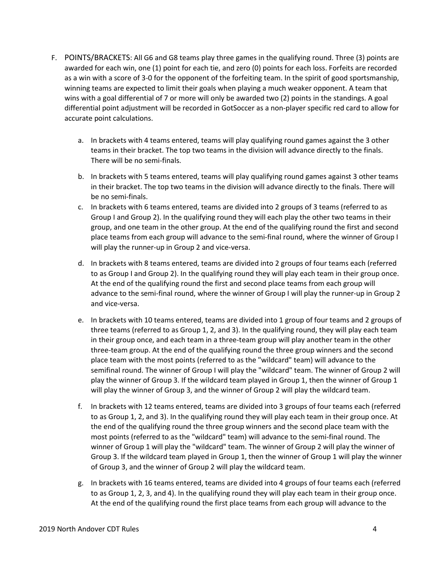- F. POINTS/BRACKETS: All G6 and G8 teams play three games in the qualifying round. Three (3) points are awarded for each win, one (1) point for each tie, and zero (0) points for each loss. Forfeits are recorded as a win with a score of 3-0 for the opponent of the forfeiting team. In the spirit of good sportsmanship, winning teams are expected to limit their goals when playing a much weaker opponent. A team that wins with a goal differential of 7 or more will only be awarded two (2) points in the standings. A goal differential point adjustment will be recorded in GotSoccer as a non-player specific red card to allow for accurate point calculations.
	- a. In brackets with 4 teams entered, teams will play qualifying round games against the 3 other teams in their bracket. The top two teams in the division will advance directly to the finals. There will be no semi-finals.
	- b. In brackets with 5 teams entered, teams will play qualifying round games against 3 other teams in their bracket. The top two teams in the division will advance directly to the finals. There will be no semi-finals.
	- c. In brackets with 6 teams entered, teams are divided into 2 groups of 3 teams (referred to as Group I and Group 2). In the qualifying round they will each play the other two teams in their group, and one team in the other group. At the end of the qualifying round the first and second place teams from each group will advance to the semi-final round, where the winner of Group I will play the runner-up in Group 2 and vice-versa.
	- d. In brackets with 8 teams entered, teams are divided into 2 groups of four teams each (referred to as Group I and Group 2). In the qualifying round they will play each team in their group once. At the end of the qualifying round the first and second place teams from each group will advance to the semi-final round, where the winner of Group I will play the runner-up in Group 2 and vice-versa.
	- e. In brackets with 10 teams entered, teams are divided into 1 group of four teams and 2 groups of three teams (referred to as Group 1, 2, and 3). In the qualifying round, they will play each team in their group once, and each team in a three-team group will play another team in the other three-team group. At the end of the qualifying round the three group winners and the second place team with the most points (referred to as the "wildcard" team) will advance to the semifinal round. The winner of Group I will play the "wildcard" team. The winner of Group 2 will play the winner of Group 3. If the wildcard team played in Group 1, then the winner of Group 1 will play the winner of Group 3, and the winner of Group 2 will play the wildcard team.
	- f. In brackets with 12 teams entered, teams are divided into 3 groups of four teams each (referred to as Group 1, 2, and 3). In the qualifying round they will play each team in their group once. At the end of the qualifying round the three group winners and the second place team with the most points (referred to as the "wildcard" team) will advance to the semi-final round. The winner of Group 1 will play the "wildcard" team. The winner of Group 2 will play the winner of Group 3. If the wildcard team played in Group 1, then the winner of Group 1 will play the winner of Group 3, and the winner of Group 2 will play the wildcard team.
	- g. In brackets with 16 teams entered, teams are divided into 4 groups of four teams each (referred to as Group 1, 2, 3, and 4). In the qualifying round they will play each team in their group once. At the end of the qualifying round the first place teams from each group will advance to the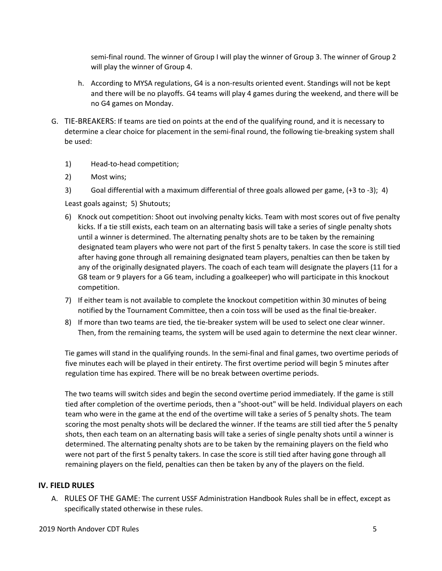semi-final round. The winner of Group I will play the winner of Group 3. The winner of Group 2 will play the winner of Group 4.

- h. According to MYSA regulations, G4 is a non-results oriented event. Standings will not be kept and there will be no playoffs. G4 teams will play 4 games during the weekend, and there will be no G4 games on Monday.
- G. TIE-BREAKERS: If teams are tied on points at the end of the qualifying round, and it is necessary to determine a clear choice for placement in the semi-final round, the following tie-breaking system shall be used:
	- 1) Head-to-head competition;
	- 2) Most wins;
	- 3) Goal differential with a maximum differential of three goals allowed per game, (+3 to -3); 4)

Least goals against; 5) Shutouts;

- 6) Knock out competition: Shoot out involving penalty kicks. Team with most scores out of five penalty kicks. If a tie still exists, each team on an alternating basis will take a series of single penalty shots until a winner is determined. The alternating penalty shots are to be taken by the remaining designated team players who were not part of the first 5 penalty takers. In case the score is still tied after having gone through all remaining designated team players, penalties can then be taken by any of the originally designated players. The coach of each team will designate the players (11 for a G8 team or 9 players for a G6 team, including a goalkeeper) who will participate in this knockout competition.
- 7) If either team is not available to complete the knockout competition within 30 minutes of being notified by the Tournament Committee, then a coin toss will be used as the final tie-breaker.
- 8) If more than two teams are tied, the tie-breaker system will be used to select one clear winner. Then, from the remaining teams, the system will be used again to determine the next clear winner.

Tie games will stand in the qualifying rounds. In the semi-final and final games, two overtime periods of five minutes each will be played in their entirety. The first overtime period will begin 5 minutes after regulation time has expired. There will be no break between overtime periods.

The two teams will switch sides and begin the second overtime period immediately. If the game is still tied after completion of the overtime periods, then a "shoot-out" will be held. Individual players on each team who were in the game at the end of the overtime will take a series of 5 penalty shots. The team scoring the most penalty shots will be declared the winner. If the teams are still tied after the 5 penalty shots, then each team on an alternating basis will take a series of single penalty shots until a winner is determined. The alternating penalty shots are to be taken by the remaining players on the field who were not part of the first 5 penalty takers. In case the score is still tied after having gone through all remaining players on the field, penalties can then be taken by any of the players on the field.

### **IV. FIELD RULES**

A. RULES OF THE GAME: The current USSF Administration Handbook Rules shall be in effect, except as specifically stated otherwise in these rules.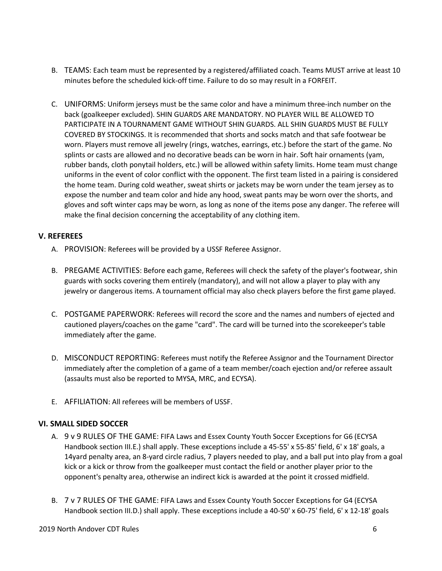- B. TEAMS: Each team must be represented by a registered/affiliated coach. Teams MUST arrive at least 10 minutes before the scheduled kick-off time. Failure to do so may result in a FORFEIT.
- C. UNIFORMS: Uniform jerseys must be the same color and have a minimum three-inch number on the back (goalkeeper excluded). SHIN GUARDS ARE MANDATORY. NO PLAYER WILL BE ALLOWED TO PARTICIPATE IN A TOURNAMENT GAME WITHOUT SHIN GUARDS. ALL SHIN GUARDS MUST BE FULLY COVERED BY STOCKINGS. It is recommended that shorts and socks match and that safe footwear be worn. Players must remove all jewelry (rings, watches, earrings, etc.) before the start of the game. No splints or casts are allowed and no decorative beads can be worn in hair. Soft hair ornaments (yam, rubber bands, cloth ponytail holders, etc.) will be allowed within safety limits. Home team must change uniforms in the event of color conflict with the opponent. The first team listed in a pairing is considered the home team. During cold weather, sweat shirts or jackets may be worn under the team jersey as to expose the number and team color and hide any hood, sweat pants may be worn over the shorts, and gloves and soft winter caps may be worn, as long as none of the items pose any danger. The referee will make the final decision concerning the acceptability of any clothing item.

### **V. REFEREES**

- A. PROVISION: Referees will be provided by a USSF Referee Assignor.
- B. PREGAME ACTIVITIES: Before each game, Referees will check the safety of the player's footwear, shin guards with socks covering them entirely (mandatory), and will not allow a player to play with any jewelry or dangerous items. A tournament official may also check players before the first game played.
- C. POSTGAME PAPERWORK: Referees will record the score and the names and numbers of ejected and cautioned players/coaches on the game "card". The card will be turned into the scorekeeper's table immediately after the game.
- D. MISCONDUCT REPORTING: Referees must notify the Referee Assignor and the Tournament Director immediately after the completion of a game of a team member/coach ejection and/or referee assault (assaults must also be reported to MYSA, MRC, and ECYSA).
- E. AFFILIATION: All referees will be members of USSF.

#### **VI. SMALL SIDED SOCCER**

- A. 9 v 9 RULES OF THE GAME: FIFA Laws and Essex County Youth Soccer Exceptions for G6 (ECYSA Handbook section III.E.) shall apply. These exceptions include a 45-55' x 55-85' field, 6' x 18' goals, a 14yard penalty area, an 8-yard circle radius, 7 players needed to play, and a ball put into play from a goal kick or a kick or throw from the goalkeeper must contact the field or another player prior to the opponent's penalty area, otherwise an indirect kick is awarded at the point it crossed midfield.
- B. 7 v 7 RULES OF THE GAME: FIFA Laws and Essex County Youth Soccer Exceptions for G4 (ECYSA Handbook section III.D.) shall apply. These exceptions include a 40-50' x 60-75' field, 6' x 12-18' goals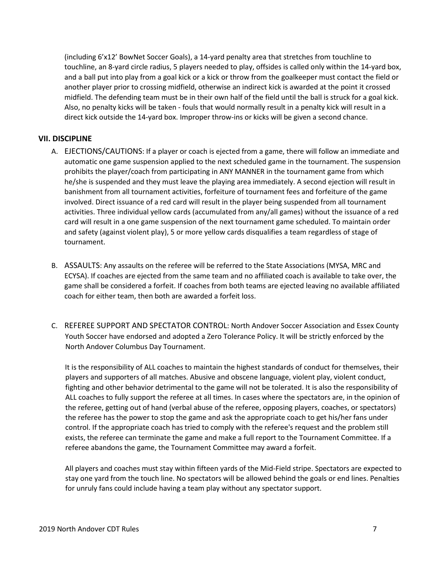(including 6'x12' BowNet Soccer Goals), a 14-yard penalty area that stretches from touchline to touchline, an 8-yard circle radius, 5 players needed to play, offsides is called only within the 14-yard box, and a ball put into play from a goal kick or a kick or throw from the goalkeeper must contact the field or another player prior to crossing midfield, otherwise an indirect kick is awarded at the point it crossed midfield. The defending team must be in their own half of the field until the ball is struck for a goal kick. Also, no penalty kicks will be taken - fouls that would normally result in a penalty kick will result in a direct kick outside the 14-yard box. Improper throw-ins or kicks will be given a second chance.

### **VII. DISCIPLINE**

- A. EJECTIONS/CAUTIONS: If a player or coach is ejected from a game, there will follow an immediate and automatic one game suspension applied to the next scheduled game in the tournament. The suspension prohibits the player/coach from participating in ANY MANNER in the tournament game from which he/she is suspended and they must leave the playing area immediately. A second ejection will result in banishment from all tournament activities, forfeiture of tournament fees and forfeiture of the game involved. Direct issuance of a red card will result in the player being suspended from all tournament activities. Three individual yellow cards (accumulated from any/all games) without the issuance of a red card will result in a one game suspension of the next tournament game scheduled. To maintain order and safety (against violent play), 5 or more yellow cards disqualifies a team regardless of stage of tournament.
- B. ASSAULTS: Any assaults on the referee will be referred to the State Associations (MYSA, MRC and ECYSA). If coaches are ejected from the same team and no affiliated coach is available to take over, the game shall be considered a forfeit. If coaches from both teams are ejected leaving no available affiliated coach for either team, then both are awarded a forfeit loss.
- C. REFEREE SUPPORT AND SPECTATOR CONTROL: North Andover Soccer Association and Essex County Youth Soccer have endorsed and adopted a Zero Tolerance Policy. It will be strictly enforced by the North Andover Columbus Day Tournament.

It is the responsibility of ALL coaches to maintain the highest standards of conduct for themselves, their players and supporters of all matches. Abusive and obscene language, violent play, violent conduct, fighting and other behavior detrimental to the game will not be tolerated. It is also the responsibility of ALL coaches to fully support the referee at all times. In cases where the spectators are, in the opinion of the referee, getting out of hand (verbal abuse of the referee, opposing players, coaches, or spectators) the referee has the power to stop the game and ask the appropriate coach to get his/her fans under control. If the appropriate coach has tried to comply with the referee's request and the problem still exists, the referee can terminate the game and make a full report to the Tournament Committee. If a referee abandons the game, the Tournament Committee may award a forfeit.

All players and coaches must stay within fifteen yards of the Mid-Field stripe. Spectators are expected to stay one yard from the touch line. No spectators will be allowed behind the goals or end lines. Penalties for unruly fans could include having a team play without any spectator support.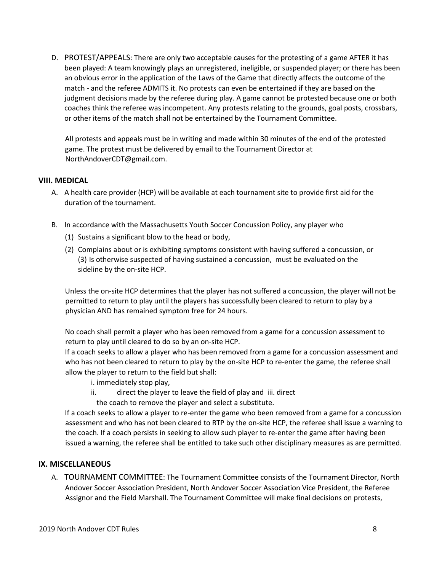D. PROTEST/APPEALS: There are only two acceptable causes for the protesting of a game AFTER it has been played: A team knowingly plays an unregistered, ineligible, or suspended player; or there has been an obvious error in the application of the Laws of the Game that directly affects the outcome of the match - and the referee ADMITS it. No protests can even be entertained if they are based on the judgment decisions made by the referee during play. A game cannot be protested because one or both coaches think the referee was incompetent. Any protests relating to the grounds, goal posts, crossbars, or other items of the match shall not be entertained by the Tournament Committee.

All protests and appeals must be in writing and made within 30 minutes of the end of the protested game. The protest must be delivered by email to the Tournament Director at NorthAndoverCDT@gmail.com.

### **VIII. MEDICAL**

- A. A health care provider (HCP) will be available at each tournament site to provide first aid for the duration of the tournament.
- B. In accordance with the Massachusetts Youth Soccer Concussion Policy, any player who
	- (1) Sustains a significant blow to the head or body,
	- (2) Complains about or is exhibiting symptoms consistent with having suffered a concussion, or (3) Is otherwise suspected of having sustained a concussion, must be evaluated on the sideline by the on-site HCP.

Unless the on-site HCP determines that the player has not suffered a concussion, the player will not be permitted to return to play until the players has successfully been cleared to return to play by a physician AND has remained symptom free for 24 hours.

No coach shall permit a player who has been removed from a game for a concussion assessment to return to play until cleared to do so by an on-site HCP.

If a coach seeks to allow a player who has been removed from a game for a concussion assessment and who has not been cleared to return to play by the on-site HCP to re-enter the game, the referee shall allow the player to return to the field but shall:

- i. immediately stop play,
- ii. direct the player to leave the field of play and iii. direct
	- the coach to remove the player and select a substitute.

If a coach seeks to allow a player to re-enter the game who been removed from a game for a concussion assessment and who has not been cleared to RTP by the on-site HCP, the referee shall issue a warning to the coach. If a coach persists in seeking to allow such player to re-enter the game after having been issued a warning, the referee shall be entitled to take such other disciplinary measures as are permitted.

### **IX. MISCELLANEOUS**

A. TOURNAMENT COMMITTEE: The Tournament Committee consists of the Tournament Director, North Andover Soccer Association President, North Andover Soccer Association Vice President, the Referee Assignor and the Field Marshall. The Tournament Committee will make final decisions on protests,